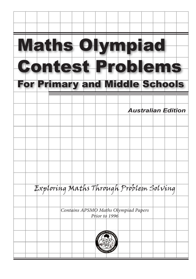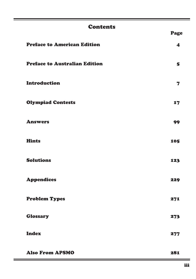# **Contents**

|                                      | Page                    |
|--------------------------------------|-------------------------|
| <b>Preface to American Edition</b>   | 4                       |
| <b>Preface to Australian Edition</b> | 5                       |
| <b>Introduction</b>                  | $\overline{\mathbf{z}}$ |
| <b>Olympiad Contests</b>             | 17                      |
| <b>Answers</b>                       | 99                      |
| <b>Hints</b>                         | 105                     |
| <b>Solutions</b>                     | 123                     |
| <b>Appendices</b>                    | 229                     |
| <b>Problem Types</b>                 | 271                     |
| <b>Glossary</b>                      | 273                     |
| <b>Index</b>                         | 277                     |
| <b>Also From APSMO</b>               | 281                     |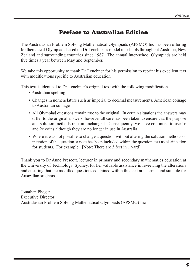## Preface to Australian Edition

The Australasian Problem Solving Mathematical Olympiads (APSMO) Inc has been offering Mathematical Olympiads based on Dr Lenchner's model to schools throughout Australia, New Zealand and surrounding countries since 1987. The annual inter-school Olympiads are held five times a year between May and September.

We take this opportunity to thank Dr Lenchner for his permission to reprint his excellent text with modifications specific to Australian education.

This text is identical to Dr Lenchner's original text with the following modifications:

- Australian spelling
- Changes in nomenclature such as imperial to decimal measurements, American coinage to Australian coinage
- All Olympiad questions remain true to the original. In certain situations the answers may differ to the original answers, however all care has been taken to ensure that the purpose and solution methods remain unchanged. Consequently, we have continued to use 1c and 2c coins although they are no longer in use in Australia.
- Where it was not possible to change a question without altering the solution methods or intention of the question, a note has been included within the question text as clarification for students. For example: [Note: There are 3 feet in 1 yard].

Thank you to Dr Anne Prescott, lecturer in primary and secondary mathematics education at the University of Technology, Sydney, for her valuable assistance in reviewing the alterations and ensuring that the modified questions contained within this text are correct and suitable for Australian students.

Jonathan Phegan Executive Director Australasian Problem Solving Mathematical Olympiads (APSMO) Inc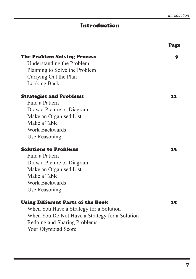## Introduction

|                                                                                                                                                                                                     | Page |
|-----------------------------------------------------------------------------------------------------------------------------------------------------------------------------------------------------|------|
| <b>The Problem Solving Process</b><br>Understanding the Problem<br>Planning to Solve the Problem<br>Carrying Out the Plan<br><b>Looking Back</b>                                                    | 9    |
| <b>Strategies and Problems</b><br>Find a Pattern<br>Draw a Picture or Diagram<br>Make an Organised List<br>Make a Table<br><b>Work Backwards</b><br>Use Reasoning                                   | 11   |
| <b>Solutions to Problems</b><br>Find a Pattern<br>Draw a Picture or Diagram<br>Make an Organised List<br>Make a Table<br><b>Work Backwards</b><br>Use Reasoning                                     | 13   |
| <b>Using Different Parts of the Book</b><br>When You Have a Strategy for a Solution<br>When You Do Not Have a Strategy for a Solution<br>Redoing and Sharing Problems<br><b>Your Olympiad Score</b> | 15   |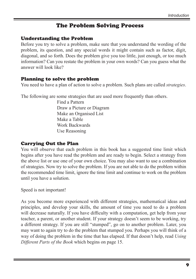## The Problem Solving Process

#### Understanding the Problem

Before you try to solve a problem, make sure that you understand the wording of the problem, its question, and any special words it might contain such as factor, digit, diagonal, and so forth. Does the problem give you too little, just enough, or too much information? Can you restate the problem in your own words? Can you guess what the answer will look like?

### Planning to solve the problem

You need to have a plan of action to solve a problem. Such plans are called *strategies*.

The following are some strategies that are used more frequently than others.

 Find a Pattern Draw a Picture or Diagram Make an Organised List Make a Table Work Backwards Use Reasoning

## Carrying Out the Plan

You will observe that each problem in this book has a suggested time limit which begins after you have read the problem and are ready to begin. Select a strategy from the above list or use one of your own choice. You may also want to use a combination of strategies. Now try to solve the problem. If you are not able to do the problem within the recommended time limit, ignore the time limit and continue to work on the problem until you have a solution.

Speed is not important!

As you become more experienced with different strategies, mathematical ideas and principles, and develop your skills, the amount of time you need to do a problem will decrease naturally. If you have difficulty with a computation, get help from your teacher, a parent, or another student. If your strategy doesn't seem to be working, try a different strategy. If you are still "stumped", go on to another problem. Later, you may want to again try to do the problem that stumped you. Perhaps you will think of a way of doing the problem in the time that has elapsed. If that doesn't help, read *Using Different Parts of the Book* which begins on page 15.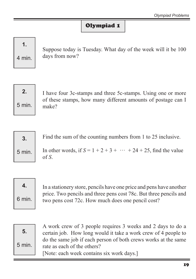# Olympiad 1

**1.**

4 min*.*

Suppose today is Tuesday. What day of the week will it be 100 days from now?



I have four 3c-stamps and three 5c-stamps. Using one or more of these stamps, how many different amounts of postage can I make?

| 3. Find the sum of the counting numbers from 1 to 25 inclusive.                           |
|-------------------------------------------------------------------------------------------|
| 5 min. In other words, if $S = 1 + 2 + 3 + \cdots + 24 + 25$ , find the value<br>of $S$ . |



In a stationery store, pencils have one price and pens have another price. Two pencils and three pens cost 78c. But three pencils and two pens cost 72c. How much does one pencil cost?

| 5 <sub>1</sub> | A work crew of 3 people requires 3 weeks and 2 days to do a<br>certain job. How long would it take a work crew of 4 people to              |
|----------------|--------------------------------------------------------------------------------------------------------------------------------------------|
| $5$ min.       | do the same job if each person of both crews works at the same<br>rate as each of the others?<br>[Note: each week contains six work days.] |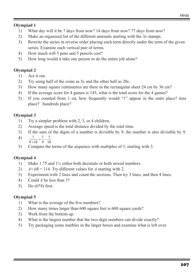#### **Olympiad 1**

- 1) What day will it be 7 days from now? 14 days from now? 77 days from now?
- 2) Make an organised list of the different amounts starting with the 3c-stamps.
- 3) Rewrite the series in reverse order placing each term directly under the term of the given series. Examine each vertical pair of terms.
- 4) How much will 5 pens and 5 pencils cost?
- 5) How long would it take one person to do the entire job alone?

#### **Olympiad 2**

- 1) Act it out.
- 2) Try using half of the coins as 5c and the other half as 20c.
- 3) How many square centimetres are there in the rectangular sheet 24 cm by 36 cm?
- 4) If the average score for 4 games is 145, what is the total score for the 4 games?
- 5) If you counted from 1 on, how frequently would "1" appear in the units place? tens place? hundreds place?

#### **Olympiad 3**

- 1) Try a simpler problem with 2, 3, or 4 children.
- 2) Average speed is the total distance divided by the total time.
- 3) If the sum of the digits of a number is divisible by 9, the number is also divisible by 9.
- 4) 1  $\overline{9 \times 10}$ 1  $\frac{1}{\times 10} = \frac{1}{9} - \frac{1}{10}$ 1
- 5) Compare the terms of the sequence with multiples of 3, starting with 3.

#### **Olympiad 4**

- 1) Make 1.75 and 1¼ either both decimals or both mixed numbers.
- 2)  $A \times AB = 114$ . Try different values for *A* starting with 2.
- 3) Experiment with 2 lines and count the sections. Then try 3 lines, and then 4 lines.
- 4) Could *A* be less than 3?
- 5) Do  $(6*8)$  first.

### **Olympiad 5**

- 1) What is the average of the five numbers?
- 2) How many times larger than 600 square feet is 600 square yards?
- 3) Work from the bottom up.
- 4) What is the largest number that the two-digit numbers can divide exactly?
- 5) Try packaging some marbles in the larger boxes and examine what is left over.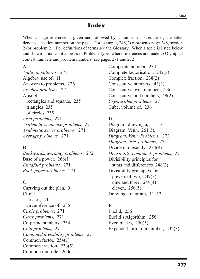### Index

When a page reference is given and followed by a number in parentheses, the latter denotes a section number on the page. For example, 248(2) represents page 248, section 2 (or problem 2). For definitions of terms see the Glossary. When a topic is listed below and shown in italics, it appears in Problem Types where references are made to Olympiad contest numbers and problem numbers (see pages 271 and 272).

#### **A**

*Addition patterns*, 271 Algebra, use of, 11 Answers to problems, 236 *Algebra problems*, 271 Area of rectangles and squares, 235 triangles 235 of circles 235 *Area problems,* 271 *Arithmetic sequence problems,* 271 *Arithmetic series problems,* 271 *Average problems,* 271

## **B**

*Backwards, working, problems,* 272 Base of a power, 266(1) *Blindfold problems,* 271 *Book-pages problems,* 271

## **C**

Carrying out the plan, 9 Circle area of, 235 circumference of, 235 *Circle problems*, 271 *Clock problems,* 271 Co-prime numbers, 234 *Coin problems,* 271 *Combined divisibility problems*, 271 Common factor, 254(1) Common fraction, 233(5) Common multiple, 260(1)

Composite number, 234 Complete factorisation, 242(3) Complex fraction, 238(2) Consecutive numbers, 43(3) Consecutive even numbers, 23(1) Consecutive odd numbers, 49(2) *Cryptarithm problems,* 271 Cube, volume of, 236

## **D**

Diagram, drawing a, 11, 13 Diagram, Venn, 261(5), *Diagram, Venn, Problems, 272 Diagram, tree, problems,* 272 Divide into exactly, 234(8) *Divisibility, combined, problems,* 271 Divisibility principles for sums and differences 248(2) Divisibility principles for powers of two, 249(3) nine and three, 249(4) eleven, 250(5) Drawing a diagram, 11, 13

## **E**

Euclid, 256 Euclid's Algorithm, 256 Even places, 250(5) Expanded form of a number, 232(3)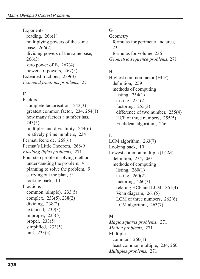Exponents reading, 266(1) multiplying powers of the same base, 266(2) dividing powers of the same base, 266(3) zero power of B, 267(4) powers of powers, 267(5) Extended fractions, 239(3) *Extended fractions problems,* 271

## **F**

Factors complete factorisation, 242(3) greatest common factor, 234, 254(1) how many factors a number has, 243(5) multiples and divisibility, 244(6) relatively prime numbers, 234 Fermat, Rene de, 268(6) Fermat's Little Theorem, 268-9 *Flashing lights problems,* 271 Four step problem solving method understanding the problem, 9 planning to solve the problem, 9 carrying out the plan, 9 looking back, 10 Fractions common (simple), 233(5) complex, 233(5), 238(2) dividing, 238(2) extended, 239(3) improper, 233(5) proper, 233(5) simplified, 233(5) unit, 233(5)

### **G**

**Geometry** formulas for perimeter and area, 235 formulas for volume, 236 *Geometric sequence problems,* 271

## **H**

Highest common factor (HCF) definition, 259 methods of computing listing, 254(1) testing, 254(2) factoring. 255(3) difference of two number, 255(4) HCF of three numbers, 255(5) Euclidean algorithm, 256

## **L**

LCM algorithm, 263(7) Looking back, 10 Lowest common multiple (LCM) definition, 234, 260 methods of computing listing, 260(1) testing, 260(2) factoring, 260(3) relating HCF and LCM, 261(4) Venn diagram, 261(5) LCM of three numbers, 262(6) LCM algorithm, 263(7)

## **M**

*Magic squares problems,* 271 *Motion problems,* 271 Multiples common, 260(1) least common multiple, 234, 260 *Multiples problems,* 271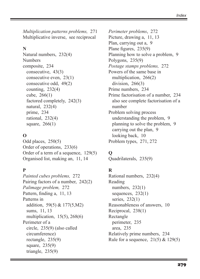*Multiplication patterns problems,* 271 Multiplicative inverse, see reciprocal

## **N**

Natural numbers, 232(4) Numbers composite, 234 consecutive, 43(3) consecutive even, 23(1) consecutive odd, 49(2) counting,  $232(4)$ cube, 266(1) factored completely, 242(3) natural, 232(4) prime, 234 rational, 232(4) square, 266(1)

## **O**

Odd places, 250(5) Order of operations, 233(6) Order of a term of a sequence, 129(5) Organised list, making an, 11, 14

### **P**

*Painted cubes problems,* 272 Pairing factors of a number, 242(2) *Palimage problem,* 272 Pattern, finding a, 11, 13 Patterns in addition, 59(5) & 177(5,M2) sums, 11, 13 multiplication,  $15(5)$ ,  $268(6)$ Perimeter of a circle, 235(9) (also called circumference) rectangle, 235(9) square, 235(9) triangle, 235(9)

*Perimeter problems*, 272 Picture, drawing a, 11, 13 Plan, carrying out a, 9 Plane figures, 235(9) Planning how to solve a problem, 9 Polygons, 235(9) *Postage stamps problems,* 272 Powers of the same base in multiplication, 266(2) division, 266(3) Prime numbers, 234 Prime factorisation of a number, 234 also see complete factorisation of a number Problem solving process understanding the problem, 9 planning to solve the problem, 9 carrying out the plan, 9 looking back, 10 Problem types, 271, 272

### **Q**

Quadrilaterals, 235(9)

### **R**

Rational numbers, 232(4) Reading numbers, 232(1) sequences, 232(1) series, 232(1) Reasonableness of answers, 10 Reciprocal, 238(1) Rectangle perimeter, 235 area, 235 Relatively prime numbers, 234 Rule for a sequence,  $21(5)$  &  $129(5)$